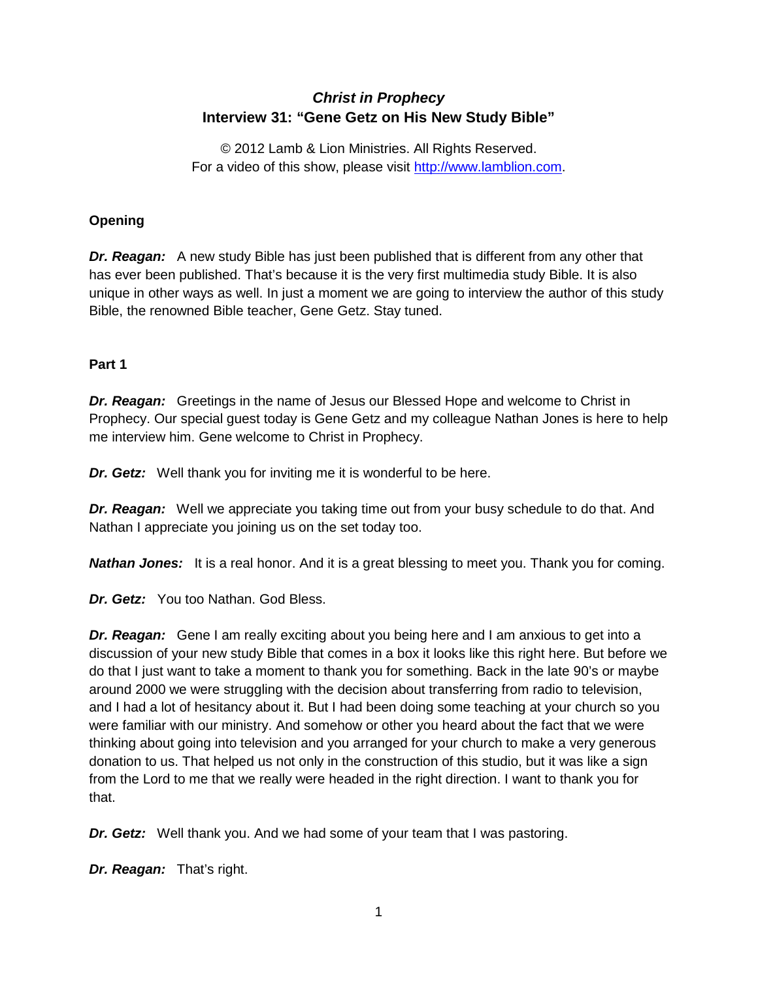# *Christ in Prophecy* **Interview 31: "Gene Getz on His New Study Bible"**

© 2012 Lamb & Lion Ministries. All Rights Reserved. For a video of this show, please visit [http://www.lamblion.com.](http://www.lamblion.com/)

# **Opening**

*Dr. Reagan:* A new study Bible has just been published that is different from any other that has ever been published. That's because it is the very first multimedia study Bible. It is also unique in other ways as well. In just a moment we are going to interview the author of this study Bible, the renowned Bible teacher, Gene Getz. Stay tuned.

# **Part 1**

*Dr. Reagan:* Greetings in the name of Jesus our Blessed Hope and welcome to Christ in Prophecy. Our special guest today is Gene Getz and my colleague Nathan Jones is here to help me interview him. Gene welcome to Christ in Prophecy.

*Dr. Getz:* Well thank you for inviting me it is wonderful to be here.

*Dr. Reagan:* Well we appreciate you taking time out from your busy schedule to do that. And Nathan I appreciate you joining us on the set today too.

*Nathan Jones:* It is a real honor. And it is a great blessing to meet you. Thank you for coming.

*Dr. Getz:* You too Nathan. God Bless.

*Dr. Reagan:* Gene I am really exciting about you being here and I am anxious to get into a discussion of your new study Bible that comes in a box it looks like this right here. But before we do that I just want to take a moment to thank you for something. Back in the late 90's or maybe around 2000 we were struggling with the decision about transferring from radio to television, and I had a lot of hesitancy about it. But I had been doing some teaching at your church so you were familiar with our ministry. And somehow or other you heard about the fact that we were thinking about going into television and you arranged for your church to make a very generous donation to us. That helped us not only in the construction of this studio, but it was like a sign from the Lord to me that we really were headed in the right direction. I want to thank you for that.

*Dr. Getz:* Well thank you. And we had some of your team that I was pastoring.

*Dr. Reagan:* That's right.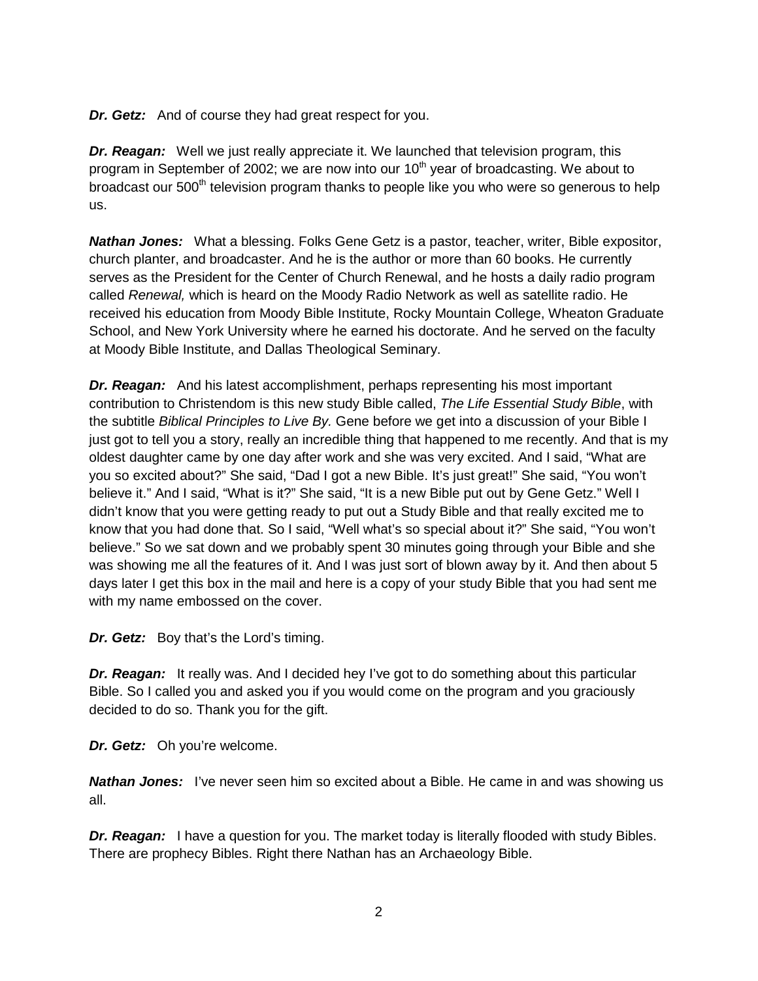*Dr. Getz:* And of course they had great respect for you.

*Dr. Reagan:* Well we just really appreciate it. We launched that television program, this program in September of 2002; we are now into our  $10<sup>th</sup>$  year of broadcasting. We about to broadcast our 500<sup>th</sup> television program thanks to people like you who were so generous to help us.

*Nathan Jones:* What a blessing. Folks Gene Getz is a pastor, teacher, writer, Bible expositor, church planter, and broadcaster. And he is the author or more than 60 books. He currently serves as the President for the Center of Church Renewal, and he hosts a daily radio program called *Renewal,* which is heard on the Moody Radio Network as well as satellite radio. He received his education from Moody Bible Institute, Rocky Mountain College, Wheaton Graduate School, and New York University where he earned his doctorate. And he served on the faculty at Moody Bible Institute, and Dallas Theological Seminary.

*Dr. Reagan:* And his latest accomplishment, perhaps representing his most important contribution to Christendom is this new study Bible called, *The Life Essential Study Bible*, with the subtitle *Biblical Principles to Live By.* Gene before we get into a discussion of your Bible I just got to tell you a story, really an incredible thing that happened to me recently. And that is my oldest daughter came by one day after work and she was very excited. And I said, "What are you so excited about?" She said, "Dad I got a new Bible. It's just great!" She said, "You won't believe it." And I said, "What is it?" She said, "It is a new Bible put out by Gene Getz." Well I didn't know that you were getting ready to put out a Study Bible and that really excited me to know that you had done that. So I said, "Well what's so special about it?" She said, "You won't believe." So we sat down and we probably spent 30 minutes going through your Bible and she was showing me all the features of it. And I was just sort of blown away by it. And then about 5 days later I get this box in the mail and here is a copy of your study Bible that you had sent me with my name embossed on the cover.

*Dr. Getz:* Boy that's the Lord's timing.

*Dr. Reagan:* It really was. And I decided hey I've got to do something about this particular Bible. So I called you and asked you if you would come on the program and you graciously decided to do so. Thank you for the gift.

*Dr. Getz:* Oh you're welcome.

*Nathan Jones:* I've never seen him so excited about a Bible. He came in and was showing us all.

*Dr. Reagan:* I have a question for you. The market today is literally flooded with study Bibles. There are prophecy Bibles. Right there Nathan has an Archaeology Bible.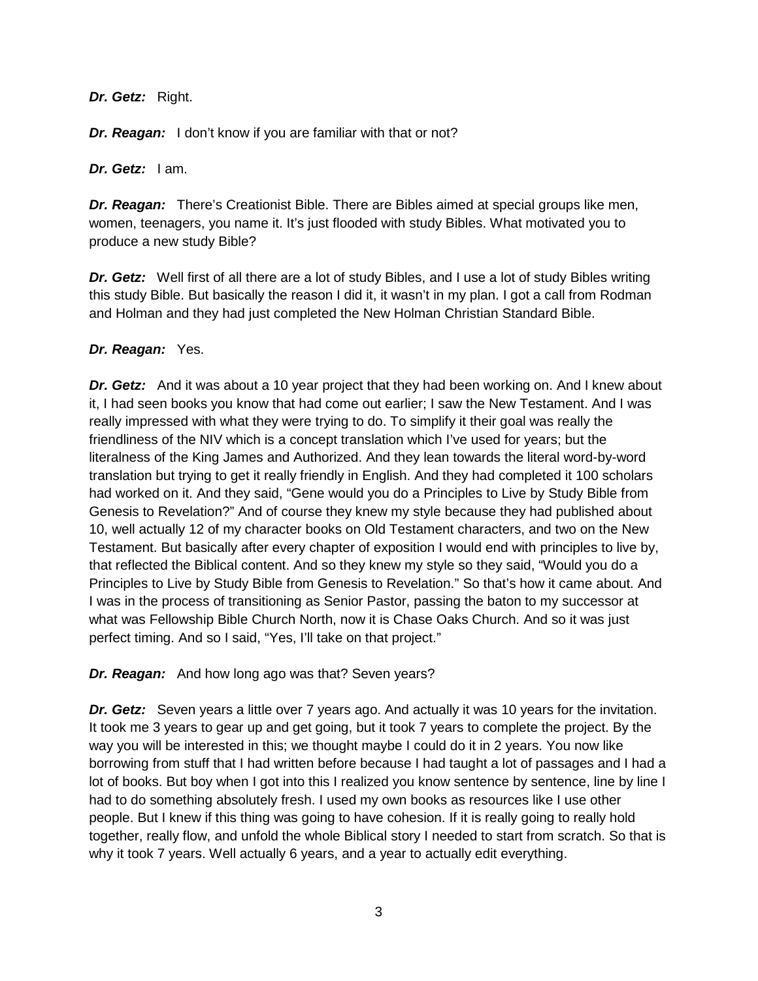## *Dr. Getz:* Right.

**Dr. Reagan:** I don't know if you are familiar with that or not?

*Dr. Getz:* I am.

*Dr. Reagan:* There's Creationist Bible. There are Bibles aimed at special groups like men, women, teenagers, you name it. It's just flooded with study Bibles. What motivated you to produce a new study Bible?

*Dr. Getz:* Well first of all there are a lot of study Bibles, and I use a lot of study Bibles writing this study Bible. But basically the reason I did it, it wasn't in my plan. I got a call from Rodman and Holman and they had just completed the New Holman Christian Standard Bible.

## *Dr. Reagan:* Yes.

*Dr. Getz:* And it was about a 10 year project that they had been working on. And I knew about it, I had seen books you know that had come out earlier; I saw the New Testament. And I was really impressed with what they were trying to do. To simplify it their goal was really the friendliness of the NIV which is a concept translation which I've used for years; but the literalness of the King James and Authorized. And they lean towards the literal word-by-word translation but trying to get it really friendly in English. And they had completed it 100 scholars had worked on it. And they said, "Gene would you do a Principles to Live by Study Bible from Genesis to Revelation?" And of course they knew my style because they had published about 10, well actually 12 of my character books on Old Testament characters, and two on the New Testament. But basically after every chapter of exposition I would end with principles to live by, that reflected the Biblical content. And so they knew my style so they said, "Would you do a Principles to Live by Study Bible from Genesis to Revelation." So that's how it came about. And I was in the process of transitioning as Senior Pastor, passing the baton to my successor at what was Fellowship Bible Church North, now it is Chase Oaks Church. And so it was just perfect timing. And so I said, "Yes, I'll take on that project."

# *Dr. Reagan:* And how long ago was that? Seven years?

*Dr. Getz:* Seven years a little over 7 years ago. And actually it was 10 years for the invitation. It took me 3 years to gear up and get going, but it took 7 years to complete the project. By the way you will be interested in this; we thought maybe I could do it in 2 years. You now like borrowing from stuff that I had written before because I had taught a lot of passages and I had a lot of books. But boy when I got into this I realized you know sentence by sentence, line by line I had to do something absolutely fresh. I used my own books as resources like I use other people. But I knew if this thing was going to have cohesion. If it is really going to really hold together, really flow, and unfold the whole Biblical story I needed to start from scratch. So that is why it took 7 years. Well actually 6 years, and a year to actually edit everything.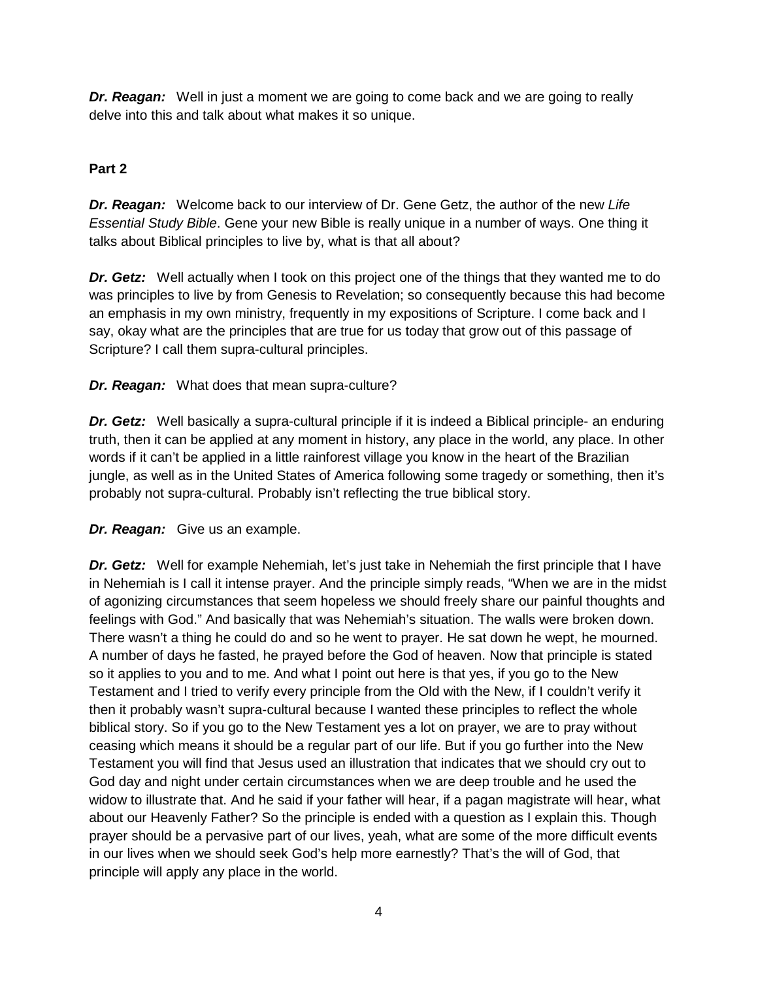*Dr. Reagan:* Well in just a moment we are going to come back and we are going to really delve into this and talk about what makes it so unique.

# **Part 2**

*Dr. Reagan:* Welcome back to our interview of Dr. Gene Getz, the author of the new *Life Essential Study Bible*. Gene your new Bible is really unique in a number of ways. One thing it talks about Biblical principles to live by, what is that all about?

*Dr. Getz:* Well actually when I took on this project one of the things that they wanted me to do was principles to live by from Genesis to Revelation; so consequently because this had become an emphasis in my own ministry, frequently in my expositions of Scripture. I come back and I say, okay what are the principles that are true for us today that grow out of this passage of Scripture? I call them supra-cultural principles.

*Dr. Reagan:* What does that mean supra-culture?

*Dr. Getz:* Well basically a supra-cultural principle if it is indeed a Biblical principle- an enduring truth, then it can be applied at any moment in history, any place in the world, any place. In other words if it can't be applied in a little rainforest village you know in the heart of the Brazilian jungle, as well as in the United States of America following some tragedy or something, then it's probably not supra-cultural. Probably isn't reflecting the true biblical story.

*Dr. Reagan:* Give us an example.

**Dr. Getz:** Well for example Nehemiah, let's just take in Nehemiah the first principle that I have in Nehemiah is I call it intense prayer. And the principle simply reads, "When we are in the midst of agonizing circumstances that seem hopeless we should freely share our painful thoughts and feelings with God." And basically that was Nehemiah's situation. The walls were broken down. There wasn't a thing he could do and so he went to prayer. He sat down he wept, he mourned. A number of days he fasted, he prayed before the God of heaven. Now that principle is stated so it applies to you and to me. And what I point out here is that yes, if you go to the New Testament and I tried to verify every principle from the Old with the New, if I couldn't verify it then it probably wasn't supra-cultural because I wanted these principles to reflect the whole biblical story. So if you go to the New Testament yes a lot on prayer, we are to pray without ceasing which means it should be a regular part of our life. But if you go further into the New Testament you will find that Jesus used an illustration that indicates that we should cry out to God day and night under certain circumstances when we are deep trouble and he used the widow to illustrate that. And he said if your father will hear, if a pagan magistrate will hear, what about our Heavenly Father? So the principle is ended with a question as I explain this. Though prayer should be a pervasive part of our lives, yeah, what are some of the more difficult events in our lives when we should seek God's help more earnestly? That's the will of God, that principle will apply any place in the world.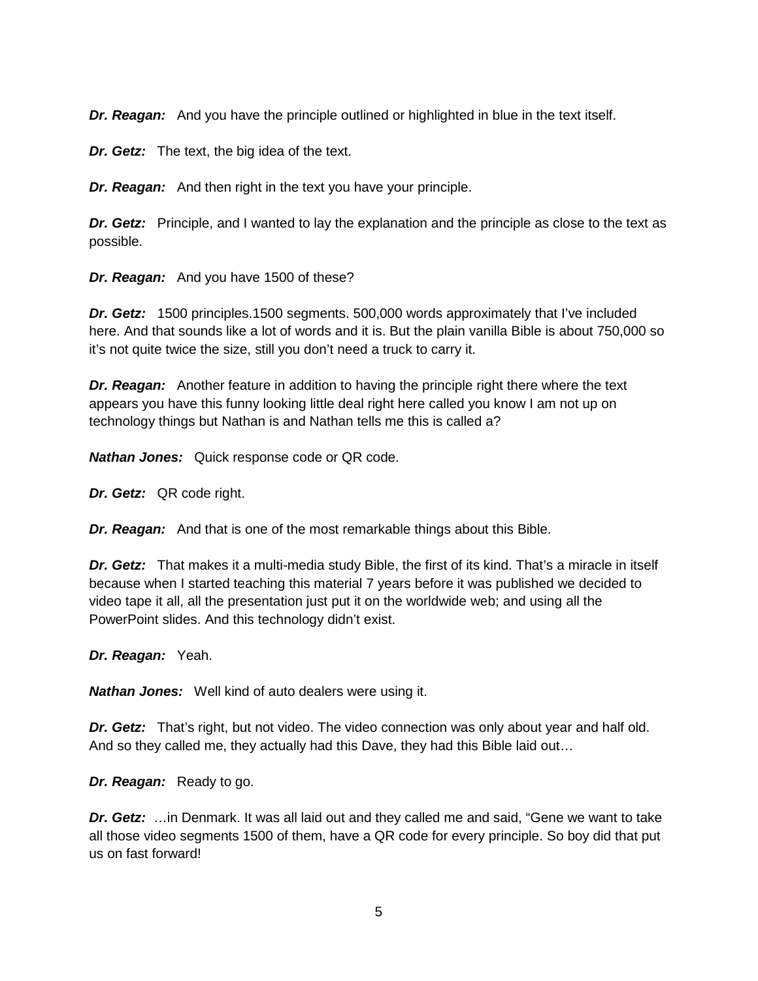*Dr. Reagan:* And you have the principle outlined or highlighted in blue in the text itself.

*Dr. Getz:* The text, the big idea of the text.

*Dr. Reagan:* And then right in the text you have your principle.

*Dr. Getz:* Principle, and I wanted to lay the explanation and the principle as close to the text as possible.

*Dr. Reagan:* And you have 1500 of these?

*Dr. Getz:* 1500 principles.1500 segments. 500,000 words approximately that I've included here. And that sounds like a lot of words and it is. But the plain vanilla Bible is about 750,000 so it's not quite twice the size, still you don't need a truck to carry it.

*Dr. Reagan:* Another feature in addition to having the principle right there where the text appears you have this funny looking little deal right here called you know I am not up on technology things but Nathan is and Nathan tells me this is called a?

*Nathan Jones:* Quick response code or QR code.

*Dr. Getz:* QR code right.

*Dr. Reagan:* And that is one of the most remarkable things about this Bible.

*Dr. Getz:* That makes it a multi-media study Bible, the first of its kind. That's a miracle in itself because when I started teaching this material 7 years before it was published we decided to video tape it all, all the presentation just put it on the worldwide web; and using all the PowerPoint slides. And this technology didn't exist.

*Dr. Reagan:* Yeah.

*Nathan Jones:* Well kind of auto dealers were using it.

*Dr. Getz:* That's right, but not video. The video connection was only about year and half old. And so they called me, they actually had this Dave, they had this Bible laid out…

*Dr. Reagan:* Ready to go.

*Dr. Getz:* …in Denmark. It was all laid out and they called me and said, "Gene we want to take all those video segments 1500 of them, have a QR code for every principle. So boy did that put us on fast forward!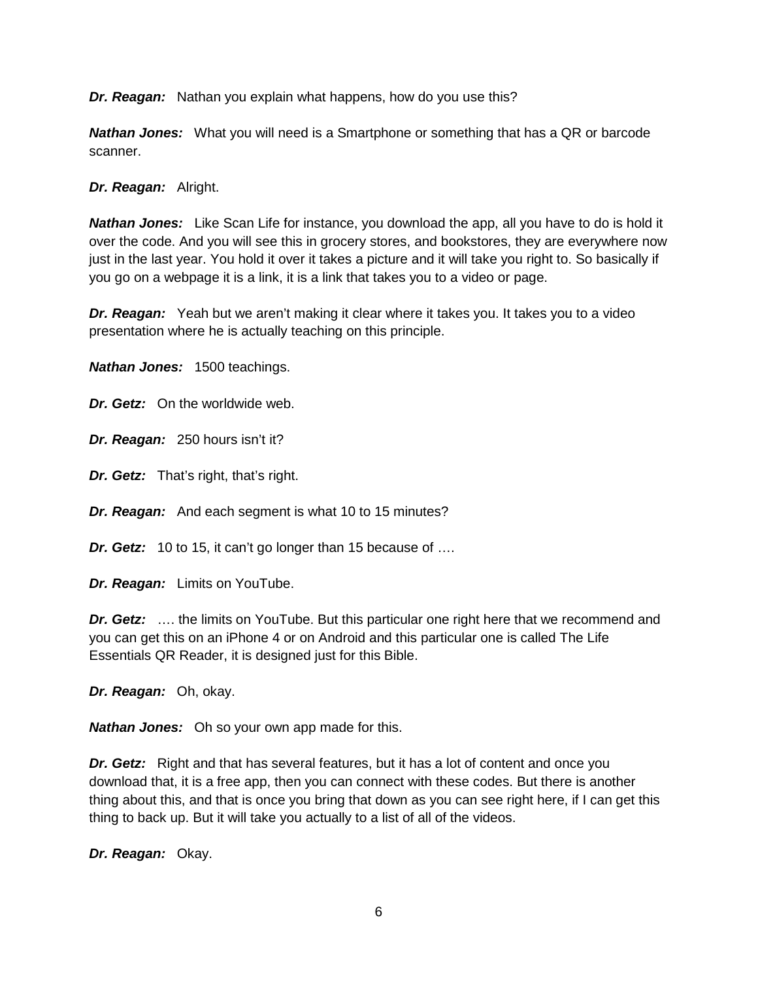*Dr. Reagan:* Nathan you explain what happens, how do you use this?

*Nathan Jones:* What you will need is a Smartphone or something that has a QR or barcode scanner.

*Dr. Reagan:* Alright.

*Nathan Jones:* Like Scan Life for instance, you download the app, all you have to do is hold it over the code. And you will see this in grocery stores, and bookstores, they are everywhere now just in the last year. You hold it over it takes a picture and it will take you right to. So basically if you go on a webpage it is a link, it is a link that takes you to a video or page.

*Dr. Reagan:* Yeah but we aren't making it clear where it takes you. It takes you to a video presentation where he is actually teaching on this principle.

*Nathan Jones:* 1500 teachings.

*Dr. Getz:* On the worldwide web.

*Dr. Reagan:* 250 hours isn't it?

*Dr. Getz:* That's right, that's right.

*Dr. Reagan:* And each segment is what 10 to 15 minutes?

*Dr. Getz:* 10 to 15, it can't go longer than 15 because of ….

*Dr. Reagan:* Limits on YouTube.

**Dr. Getz:** ... the limits on YouTube. But this particular one right here that we recommend and you can get this on an iPhone 4 or on Android and this particular one is called The Life Essentials QR Reader, it is designed just for this Bible.

*Dr. Reagan:* Oh, okay.

*Nathan Jones:* Oh so your own app made for this.

*Dr. Getz:* Right and that has several features, but it has a lot of content and once you download that, it is a free app, then you can connect with these codes. But there is another thing about this, and that is once you bring that down as you can see right here, if I can get this thing to back up. But it will take you actually to a list of all of the videos.

*Dr. Reagan:* Okay.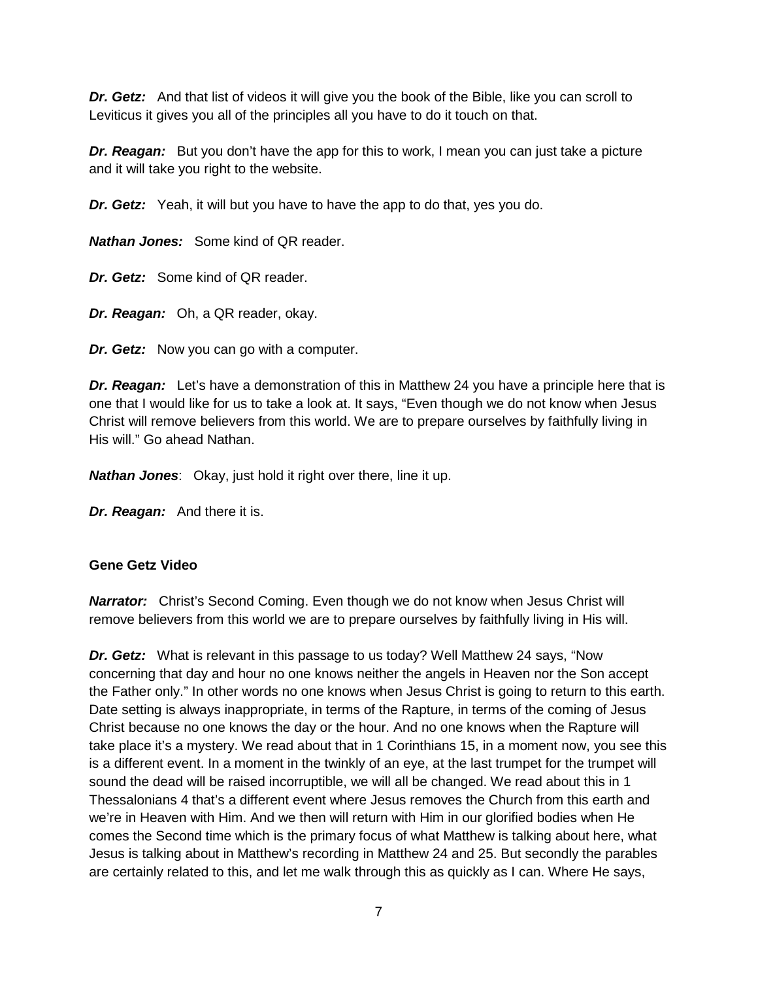*Dr. Getz:* And that list of videos it will give you the book of the Bible, like you can scroll to Leviticus it gives you all of the principles all you have to do it touch on that.

*Dr. Reagan:* But you don't have the app for this to work, I mean you can just take a picture and it will take you right to the website.

*Dr. Getz:* Yeah, it will but you have to have the app to do that, yes you do.

*Nathan Jones:* Some kind of QR reader.

*Dr. Getz:* Some kind of QR reader.

*Dr. Reagan:* Oh, a QR reader, okay.

*Dr. Getz:* Now you can go with a computer.

*Dr. Reagan:* Let's have a demonstration of this in Matthew 24 you have a principle here that is one that I would like for us to take a look at. It says, "Even though we do not know when Jesus Christ will remove believers from this world. We are to prepare ourselves by faithfully living in His will." Go ahead Nathan.

*Nathan Jones*: Okay, just hold it right over there, line it up.

*Dr. Reagan:* And there it is.

## **Gene Getz Video**

**Narrator:** Christ's Second Coming. Even though we do not know when Jesus Christ will remove believers from this world we are to prepare ourselves by faithfully living in His will.

*Dr. Getz:* What is relevant in this passage to us today? Well Matthew 24 says, "Now concerning that day and hour no one knows neither the angels in Heaven nor the Son accept the Father only." In other words no one knows when Jesus Christ is going to return to this earth. Date setting is always inappropriate, in terms of the Rapture, in terms of the coming of Jesus Christ because no one knows the day or the hour. And no one knows when the Rapture will take place it's a mystery. We read about that in 1 Corinthians 15, in a moment now, you see this is a different event. In a moment in the twinkly of an eye, at the last trumpet for the trumpet will sound the dead will be raised incorruptible, we will all be changed. We read about this in 1 Thessalonians 4 that's a different event where Jesus removes the Church from this earth and we're in Heaven with Him. And we then will return with Him in our glorified bodies when He comes the Second time which is the primary focus of what Matthew is talking about here, what Jesus is talking about in Matthew's recording in Matthew 24 and 25. But secondly the parables are certainly related to this, and let me walk through this as quickly as I can. Where He says,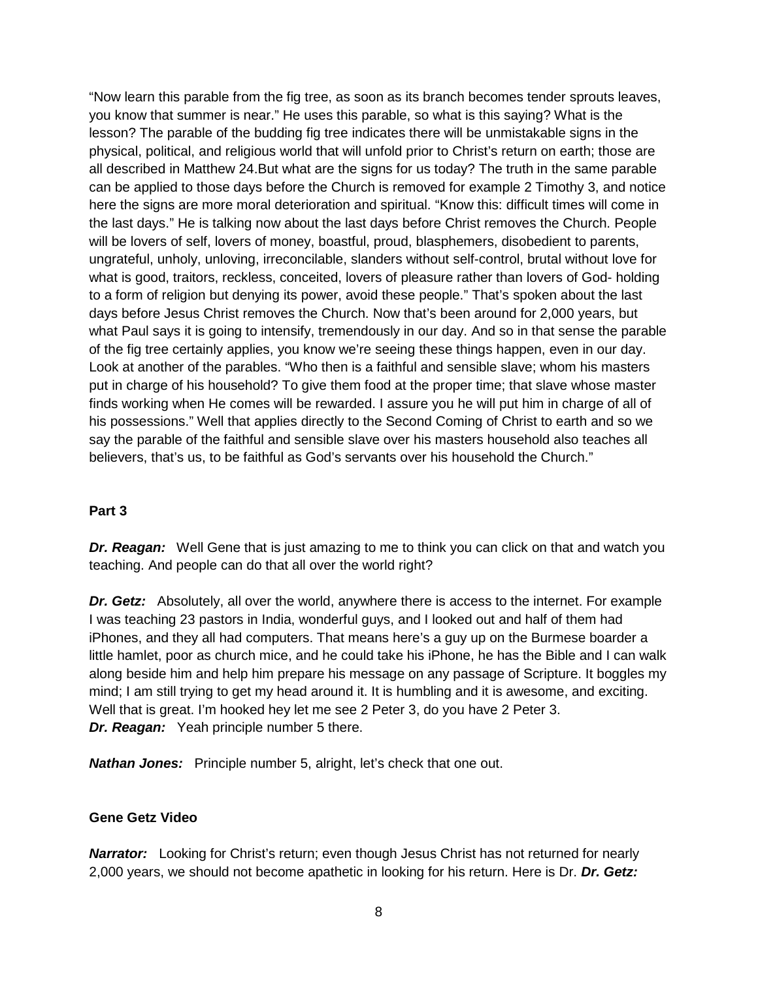"Now learn this parable from the fig tree, as soon as its branch becomes tender sprouts leaves, you know that summer is near." He uses this parable, so what is this saying? What is the lesson? The parable of the budding fig tree indicates there will be unmistakable signs in the physical, political, and religious world that will unfold prior to Christ's return on earth; those are all described in Matthew 24.But what are the signs for us today? The truth in the same parable can be applied to those days before the Church is removed for example 2 Timothy 3, and notice here the signs are more moral deterioration and spiritual. "Know this: difficult times will come in the last days." He is talking now about the last days before Christ removes the Church. People will be lovers of self, lovers of money, boastful, proud, blasphemers, disobedient to parents, ungrateful, unholy, unloving, irreconcilable, slanders without self-control, brutal without love for what is good, traitors, reckless, conceited, lovers of pleasure rather than lovers of God- holding to a form of religion but denying its power, avoid these people." That's spoken about the last days before Jesus Christ removes the Church. Now that's been around for 2,000 years, but what Paul says it is going to intensify, tremendously in our day. And so in that sense the parable of the fig tree certainly applies, you know we're seeing these things happen, even in our day. Look at another of the parables. "Who then is a faithful and sensible slave; whom his masters put in charge of his household? To give them food at the proper time; that slave whose master finds working when He comes will be rewarded. I assure you he will put him in charge of all of his possessions." Well that applies directly to the Second Coming of Christ to earth and so we say the parable of the faithful and sensible slave over his masters household also teaches all believers, that's us, to be faithful as God's servants over his household the Church."

## **Part 3**

**Dr. Reagan:** Well Gene that is just amazing to me to think you can click on that and watch you teaching. And people can do that all over the world right?

*Dr. Getz:* Absolutely, all over the world, anywhere there is access to the internet. For example I was teaching 23 pastors in India, wonderful guys, and I looked out and half of them had iPhones, and they all had computers. That means here's a guy up on the Burmese boarder a little hamlet, poor as church mice, and he could take his iPhone, he has the Bible and I can walk along beside him and help him prepare his message on any passage of Scripture. It boggles my mind; I am still trying to get my head around it. It is humbling and it is awesome, and exciting. Well that is great. I'm hooked hey let me see 2 Peter 3, do you have 2 Peter 3. *Dr. Reagan:* Yeah principle number 5 there.

*Nathan Jones:* Principle number 5, alright, let's check that one out.

### **Gene Getz Video**

**Narrator:** Looking for Christ's return; even though Jesus Christ has not returned for nearly 2,000 years, we should not become apathetic in looking for his return. Here is Dr. *Dr. Getz:*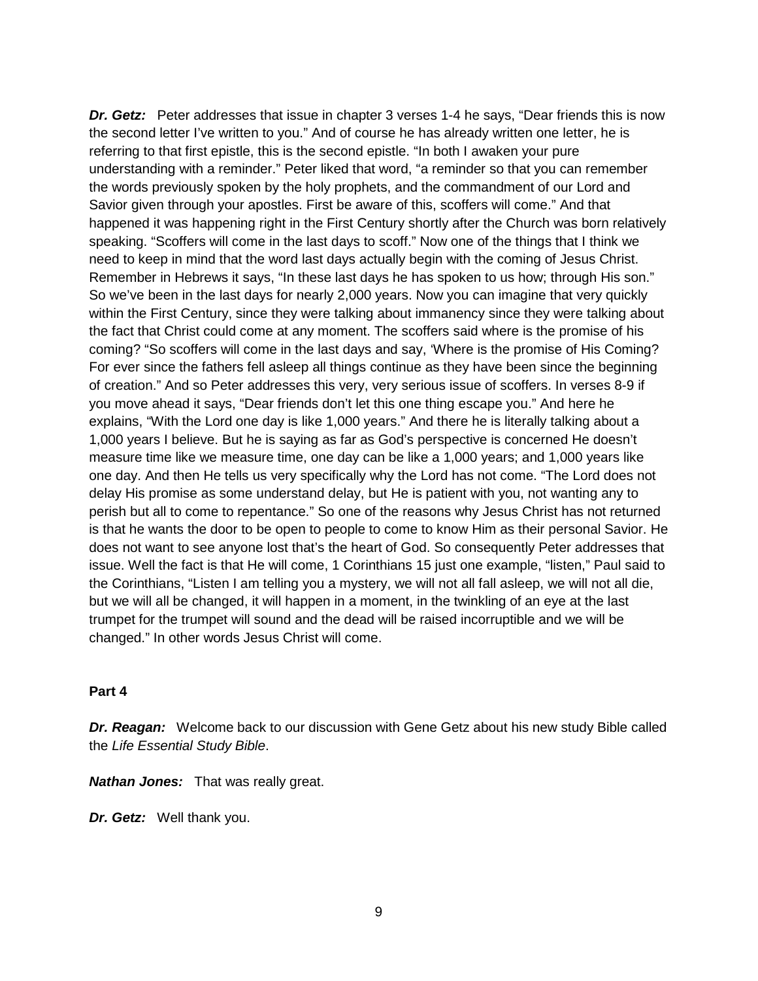**Dr. Getz:** Peter addresses that issue in chapter 3 verses 1-4 he says, "Dear friends this is now the second letter I've written to you." And of course he has already written one letter, he is referring to that first epistle, this is the second epistle. "In both I awaken your pure understanding with a reminder." Peter liked that word, "a reminder so that you can remember the words previously spoken by the holy prophets, and the commandment of our Lord and Savior given through your apostles. First be aware of this, scoffers will come." And that happened it was happening right in the First Century shortly after the Church was born relatively speaking. "Scoffers will come in the last days to scoff." Now one of the things that I think we need to keep in mind that the word last days actually begin with the coming of Jesus Christ. Remember in Hebrews it says, "In these last days he has spoken to us how; through His son." So we've been in the last days for nearly 2,000 years. Now you can imagine that very quickly within the First Century, since they were talking about immanency since they were talking about the fact that Christ could come at any moment. The scoffers said where is the promise of his coming? "So scoffers will come in the last days and say, 'Where is the promise of His Coming? For ever since the fathers fell asleep all things continue as they have been since the beginning of creation." And so Peter addresses this very, very serious issue of scoffers. In verses 8-9 if you move ahead it says, "Dear friends don't let this one thing escape you." And here he explains, "With the Lord one day is like 1,000 years." And there he is literally talking about a 1,000 years I believe. But he is saying as far as God's perspective is concerned He doesn't measure time like we measure time, one day can be like a 1,000 years; and 1,000 years like one day. And then He tells us very specifically why the Lord has not come. "The Lord does not delay His promise as some understand delay, but He is patient with you, not wanting any to perish but all to come to repentance." So one of the reasons why Jesus Christ has not returned is that he wants the door to be open to people to come to know Him as their personal Savior. He does not want to see anyone lost that's the heart of God. So consequently Peter addresses that issue. Well the fact is that He will come, 1 Corinthians 15 just one example, "listen," Paul said to the Corinthians, "Listen I am telling you a mystery, we will not all fall asleep, we will not all die, but we will all be changed, it will happen in a moment, in the twinkling of an eye at the last trumpet for the trumpet will sound and the dead will be raised incorruptible and we will be changed." In other words Jesus Christ will come.

#### **Part 4**

*Dr. Reagan:* Welcome back to our discussion with Gene Getz about his new study Bible called the *Life Essential Study Bible*.

*Nathan Jones:* That was really great.

*Dr. Getz:* Well thank you.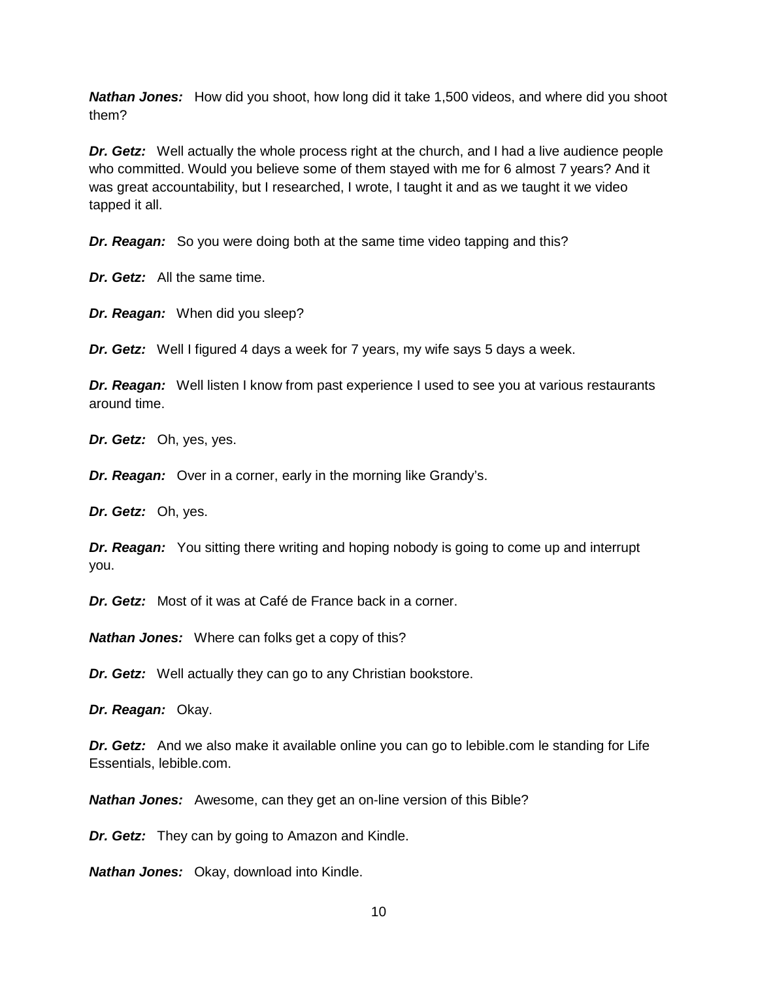*Nathan Jones:* How did you shoot, how long did it take 1,500 videos, and where did you shoot them?

*Dr. Getz:* Well actually the whole process right at the church, and I had a live audience people who committed. Would you believe some of them stayed with me for 6 almost 7 years? And it was great accountability, but I researched, I wrote, I taught it and as we taught it we video tapped it all.

*Dr. Reagan:* So you were doing both at the same time video tapping and this?

*Dr. Getz:* All the same time.

*Dr. Reagan:* When did you sleep?

*Dr. Getz:* Well I figured 4 days a week for 7 years, my wife says 5 days a week.

*Dr. Reagan:* Well listen I know from past experience I used to see you at various restaurants around time.

*Dr. Getz:* Oh, yes, yes.

*Dr. Reagan:* Over in a corner, early in the morning like Grandy's.

*Dr. Getz:* Oh, yes.

*Dr. Reagan:* You sitting there writing and hoping nobody is going to come up and interrupt you.

*Dr. Getz:* Most of it was at Café de France back in a corner.

*Nathan Jones:* Where can folks get a copy of this?

*Dr. Getz:* Well actually they can go to any Christian bookstore.

*Dr. Reagan:* Okay.

*Dr. Getz:* And we also make it available online you can go to lebible.com le standing for Life Essentials, lebible.com.

*Nathan Jones:* Awesome, can they get an on-line version of this Bible?

*Dr. Getz:* They can by going to Amazon and Kindle.

*Nathan Jones:* Okay, download into Kindle.